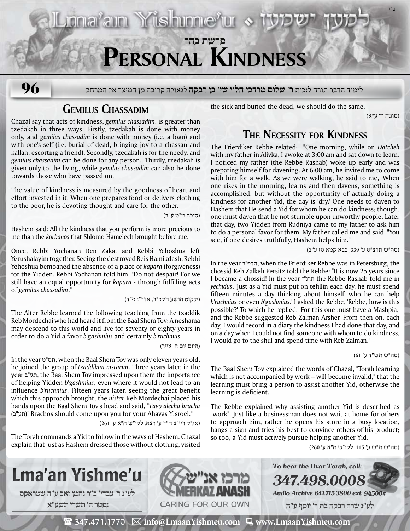

umai'am Yishunne'ur s

לימוד הדבר תורה לזכות **ר' שלום מרדכי הלוי שי' בן רבקה** לגאולה קרובה מן המיצר אל המרחב **96**

## **Gemilus Chassadim**

Chazal say that acts of kindness, *gemilus chassadim*, is greater than tzedakah in three ways. Firstly, tzedakah is done with money only, and *gemilus chassadim* is done with money (i.e. a loan) and with one's self (i.e. burial of dead, bringing joy to a chassan and kallah, escorting a friend). Secondly, tzedakah is for the needy, and *gemilus chassadim* can be done for any person. Thirdly, tzedakah is given only to the living, while *gemilus chassadim* can also be done towards those who have passed on.

The value of kindness is measured by the goodness of heart and effort invested in it. When one prepares food or delivers clothing to the poor, he is devoting thought and care for the other.

(סוכה מ"ט ע"ב)

Hashem said: All the kindness that you perform is more precious to me than the *korbanos* that Shlomo Hamelech brought before me.

Once, Rebbi Yochanan Ben Zakai and Rebbi Yehoshua left Yerushalayim together. Seeing the destroyed Beis Hamikdash, Rebbi Yehoshua bemoaned the absence of a place of *kapara* (forgiveness) for the Yidden. Rebbi Yochanan told him, "Do not despair! For we still have an equal opportunity for *kapara* - through fulfilling acts of *gemilus chassadim*."

(ילקוט הושע תקכ"ב, אדר"נ פ"ד)

The Alter Rebbe learned the following teaching from the tzaddik Reb Mordechai who had heard it from the Baal Shem Tov: A neshama may descend to this world and live for seventy or eighty years in order to do a Yid a favor *b'gashmius* and certainly *b'ruchnius*.

(היום יום ה' אייר)

In the year ט"תס, when the Baal Shem Tov was only eleven years old, he joined the group of *tzaddikim nistarim*. Three years later, in the year ב"תע, the Baal Shem Tov impressed upon them the importance of helping Yidden *b'gashmius*, even where it would not lead to an influence *b'ruchnius*. Fifteen years later, seeing the great benefit which this approach brought, the *nistar* Reb Mordechai placed his hands upon the Baal Shem Tov's head and said, "*Tavo alecha bracha*  (ב"תע !(Brachos should come upon you for your Ahavas Yisroel."

(אג"ק ריי"צ ח"ד ע' רצא, לקו"ש ח"א ע' 261)

The Torah commands a Yid to follow in the ways of Hashem. Chazal explain that just as Hashem dressed those without clothing, visited

the sick and buried the dead, we should do the same.

(סוטה יד ע"א)

**ב"ה**

## **The Necessity for Kindness**

The Frierdiker Rebbe related: "One morning, while on *Datcheh* with my father in Alivka, I awoke at 3:00 am and sat down to learn. I noticed my father (the Rebbe Rashab) woke up early and was preparing himself for davening. At 6:00 am, he invited me to come with him for a walk. As we were walking, he said to me, 'When one rises in the morning, learns and then davens, something is accomplished, but without the opportunity of actually doing a kindness for another Yid, the day is 'dry.' One needs to daven to Hashem that He send a Yid for whom he can do kindness; though, one must daven that he not stumble upon unworthy people. Later that day, two Yidden from Rudniya came to my father to ask him to do a personal favor for them. My father called me and said, "You see, if one desires truthfully, Hashem helps him.'"

(סה"ש תרצ"ט ע' ,339 בבא קמא טז ע"ב)

In the year ב"תרפ, when the Frierdiker Rebbe was in Petersburg, the chossid Reb Zalkeh Persitz told the Rebbe: "It is now 25 years since I became a chossid! In the year תרנ"ז the Rebbe Rashab told me in *yechidus*, 'Just as a Yid must put on tefillin each day, he must spend fifteen minutes a day thinking about himself, who he can help *b'ruchnius* or even *b'gashmius*.' I asked the Rebbe, 'Rebbe, how is this possible?' To which he replied, 'For this one must have a Mashpia,' and the Rebbe suggested Reb Zalman Arsher. From then on, each day, I would record in a diary the kindness I had done that day, and on a day when I could not find someone with whom to do kindness, I would go to the shul and spend time with Reb Zalman."

(סה"ש תש"ד ע' 61)

The Baal Shem Tov explained the words of Chazal, "Torah learning which is not accompanied by work – will become invalid," that the learning must bring a person to assist another Yid, otherwise the learning is deficient.

The Rebbe explained why assisting another Yid is described as "work". Just like a businessman does not wait at home for others to approach him, rather he opens his store in a busy location, hangs a sign and tries his best to convince others of his product; so too, a Yid must actively pursue helping another Yid.

(סה"ש ת"ש ע' ,115 לקו"ש ח"א ע' 260)







**347.498.0008 Audio Archive 641.715.3800 ext. 94500#**

**To hear the Dvar Torah, call:**

 **לע"נ שרה רבקה בת ר׳ יוסף ע"ה**